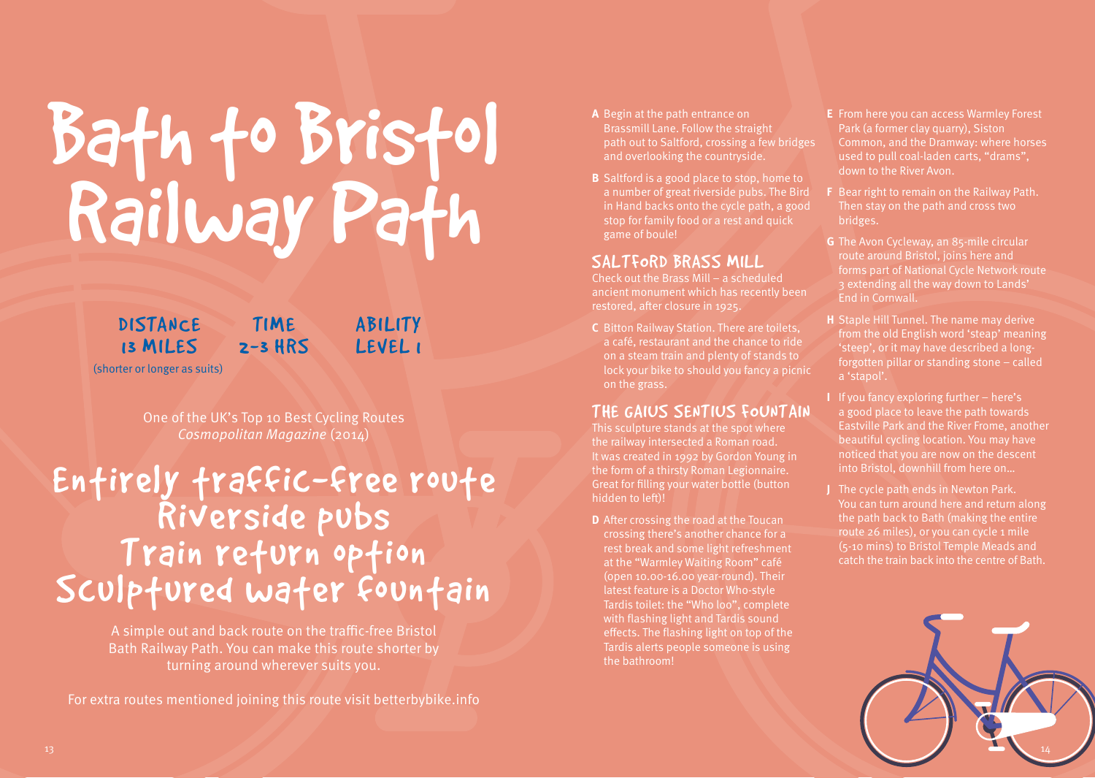# Bath to Bristol Railway Path

**DISTANCE** 13 MILES **TIME** 2-3 HRS **ABILITY** LEVEL 1

(shorter or longer as suits)

One of the UK's Top 10 Best Cycling Routes Cosmopolitan Magazine (2014)

## Enfirely fraffic-free roufe<br>Riverside pubs<br>Train refurn opfion Sculptured water fountain

A simple out and back route on the traffic-free Bristol Bath Railway Path. You can make this route shorter by turning around wherever suits you.

For extra routes mentioned joining this route visit betterbybike.info

- **A** Begin at the path entrance on Brassmill Lane. Follow the straight path out to Saltford, crossing a few bridges and overlooking the countryside.
- **B** Saltford is a good place to stop, home to a number of great riverside pubs. The Bird in Hand backs onto the cycle path, a good stop for family food or a rest and quick game of boule!

#### SALTFORD BRASS MILL

Check out the Brass Mill – a scheduled ancient monument which has recently been restored, after closure in 1925.

**C** Bitton Railway Station. There are toilets, a café, restaurant and the chance to ride on a steam train and plenty of stands to lock your bike to should you fancy a picnic on the grass.

#### THE GAIUS SENTIUS FOUNTAIN

This sculpture stands at the spot where the railway intersected a Roman road. It was created in 1992 by Gordon Young in the form of a thirsty Roman Legionnaire. Great for filling your water bottle (button hidden to left)!

**D** After crossing the road at the Toucan crossing there's another chance for a rest break and some light refreshment at the "Warmley Waiting Room" café (open 10.00-16.00 year-round). Their latest feature is a Doctor Who-style Tardis toilet: the "Who loo", complete with flashing light and Tardis sound effects. The flashing light on top of the Tardis alerts people someone is using the bathroom!

- **E** From here you can access Warmley Forest Park (a former clay quarry), Siston Common, and the Dramway: where horses used to pull coal-laden carts, "drams", down to the River Avon.
- **F** Bear right to remain on the Railway Path. Then stay on the path and cross two bridges.
- **G** The Avon Cycleway, an 85-mile circular route around Bristol, joins here and forms part of National Cycle Network route 3 extending all the way down to Lands' End in Cornwall.
- **H** Staple Hill Tunnel. The name may derive from the old English word 'steap' meaning 'steep', or it may have described a longforgotten pillar or standing stone – called a 'stapol'.
- **I** If you fancy exploring further here's a good place to leave the path towards Eastville Park and the River Frome, another beautiful cycling location. You may have noticed that you are now on the descent into Bristol, downhill from here on…
- **J** The cycle path ends in Newton Park. You can turn around here and return along the path back to Bath (making the entire route 26 miles), or you can cycle 1 mile (5-10 mins) to Bristol Temple Meads and catch the train back into the centre of Bath.